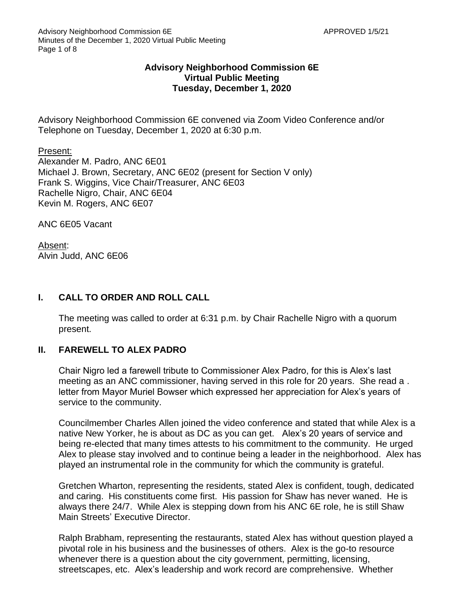# **Advisory Neighborhood Commission 6E Virtual Public Meeting Tuesday, December 1, 2020**

Advisory Neighborhood Commission 6E convened via Zoom Video Conference and/or Telephone on Tuesday, December 1, 2020 at 6:30 p.m.

Present:

Alexander M. Padro, ANC 6E01 Michael J. Brown, Secretary, ANC 6E02 (present for Section V only) Frank S. Wiggins, Vice Chair/Treasurer, ANC 6E03 Rachelle Nigro, Chair, ANC 6E04 Kevin M. Rogers, ANC 6E07

ANC 6E05 Vacant

Absent: Alvin Judd, ANC 6E06

# **I. CALL TO ORDER AND ROLL CALL**

The meeting was called to order at 6:31 p.m. by Chair Rachelle Nigro with a quorum present.

## **II. FAREWELL TO ALEX PADRO**

Chair Nigro led a farewell tribute to Commissioner Alex Padro, for this is Alex's last meeting as an ANC commissioner, having served in this role for 20 years. She read a . letter from Mayor Muriel Bowser which expressed her appreciation for Alex's years of service to the community.

Councilmember Charles Allen joined the video conference and stated that while Alex is a native New Yorker, he is about as DC as you can get. Alex's 20 years of service and being re-elected that many times attests to his commitment to the community. He urged Alex to please stay involved and to continue being a leader in the neighborhood. Alex has played an instrumental role in the community for which the community is grateful.

Gretchen Wharton, representing the residents, stated Alex is confident, tough, dedicated and caring. His constituents come first. His passion for Shaw has never waned. He is always there 24/7. While Alex is stepping down from his ANC 6E role, he is still Shaw Main Streets' Executive Director.

Ralph Brabham, representing the restaurants, stated Alex has without question played a pivotal role in his business and the businesses of others. Alex is the go-to resource whenever there is a question about the city government, permitting, licensing, streetscapes, etc. Alex's leadership and work record are comprehensive. Whether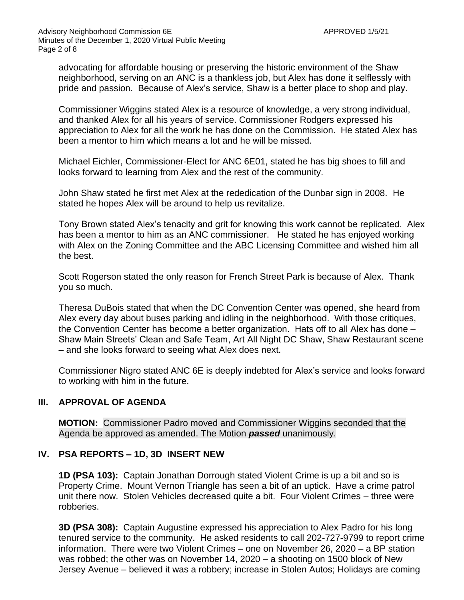advocating for affordable housing or preserving the historic environment of the Shaw neighborhood, serving on an ANC is a thankless job, but Alex has done it selflessly with pride and passion. Because of Alex's service, Shaw is a better place to shop and play.

Commissioner Wiggins stated Alex is a resource of knowledge, a very strong individual, and thanked Alex for all his years of service. Commissioner Rodgers expressed his appreciation to Alex for all the work he has done on the Commission. He stated Alex has been a mentor to him which means a lot and he will be missed.

Michael Eichler, Commissioner-Elect for ANC 6E01, stated he has big shoes to fill and looks forward to learning from Alex and the rest of the community.

John Shaw stated he first met Alex at the rededication of the Dunbar sign in 2008. He stated he hopes Alex will be around to help us revitalize.

Tony Brown stated Alex's tenacity and grit for knowing this work cannot be replicated. Alex has been a mentor to him as an ANC commissioner. He stated he has enjoyed working with Alex on the Zoning Committee and the ABC Licensing Committee and wished him all the best.

Scott Rogerson stated the only reason for French Street Park is because of Alex. Thank you so much.

Theresa DuBois stated that when the DC Convention Center was opened, she heard from Alex every day about buses parking and idling in the neighborhood. With those critiques, the Convention Center has become a better organization. Hats off to all Alex has done – Shaw Main Streets' Clean and Safe Team, Art All Night DC Shaw, Shaw Restaurant scene – and she looks forward to seeing what Alex does next.

Commissioner Nigro stated ANC 6E is deeply indebted for Alex's service and looks forward to working with him in the future.

## **III. APPROVAL OF AGENDA**

**MOTION:** Commissioner Padro moved and Commissioner Wiggins seconded that the Agenda be approved as amended. The Motion *passed* unanimously.

## **IV. PSA REPORTS – 1D, 3D INSERT NEW**

**1D (PSA 103):** Captain Jonathan Dorrough stated Violent Crime is up a bit and so is Property Crime. Mount Vernon Triangle has seen a bit of an uptick. Have a crime patrol unit there now. Stolen Vehicles decreased quite a bit. Four Violent Crimes – three were robberies.

**3D (PSA 308):** Captain Augustine expressed his appreciation to Alex Padro for his long tenured service to the community. He asked residents to call 202-727-9799 to report crime information. There were two Violent Crimes – one on November 26, 2020 – a BP station was robbed; the other was on November 14, 2020 – a shooting on 1500 block of New Jersey Avenue – believed it was a robbery; increase in Stolen Autos; Holidays are coming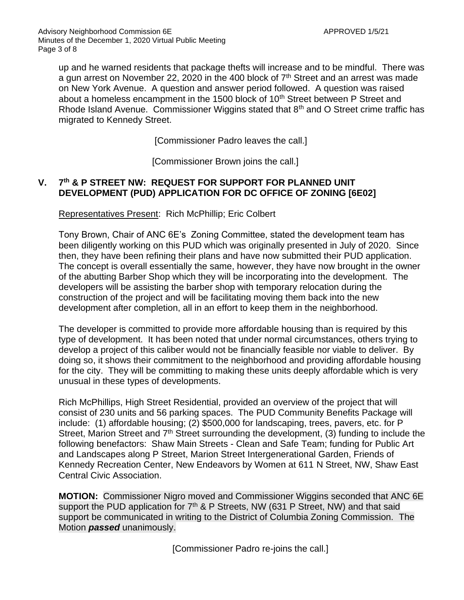up and he warned residents that package thefts will increase and to be mindful. There was a gun arrest on November 22, 2020 in the 400 block of 7<sup>th</sup> Street and an arrest was made on New York Avenue. A question and answer period followed. A question was raised about a homeless encampment in the 1500 block of 10<sup>th</sup> Street between P Street and Rhode Island Avenue. Commissioner Wiggins stated that  $8<sup>th</sup>$  and O Street crime traffic has migrated to Kennedy Street.

[Commissioner Padro leaves the call.]

[Commissioner Brown joins the call.]

#### **V. 7 th & P STREET NW: REQUEST FOR SUPPORT FOR PLANNED UNIT DEVELOPMENT (PUD) APPLICATION FOR DC OFFICE OF ZONING [6E02]**

Representatives Present: Rich McPhillip; Eric Colbert

Tony Brown, Chair of ANC 6E's Zoning Committee, stated the development team has been diligently working on this PUD which was originally presented in July of 2020. Since then, they have been refining their plans and have now submitted their PUD application. The concept is overall essentially the same, however, they have now brought in the owner of the abutting Barber Shop which they will be incorporating into the development. The developers will be assisting the barber shop with temporary relocation during the construction of the project and will be facilitating moving them back into the new development after completion, all in an effort to keep them in the neighborhood.

The developer is committed to provide more affordable housing than is required by this type of development. It has been noted that under normal circumstances, others trying to develop a project of this caliber would not be financially feasible nor viable to deliver. By doing so, it shows their commitment to the neighborhood and providing affordable housing for the city. They will be committing to making these units deeply affordable which is very unusual in these types of developments.

Rich McPhillips, High Street Residential, provided an overview of the project that will consist of 230 units and 56 parking spaces. The PUD Community Benefits Package will include: (1) affordable housing; (2) \$500,000 for landscaping, trees, pavers, etc. for P Street, Marion Street and 7<sup>th</sup> Street surrounding the development, (3) funding to include the following benefactors: Shaw Main Streets - Clean and Safe Team; funding for Public Art and Landscapes along P Street, Marion Street Intergenerational Garden, Friends of Kennedy Recreation Center, New Endeavors by Women at 611 N Street, NW, Shaw East Central Civic Association.

**MOTION:** Commissioner Nigro moved and Commissioner Wiggins seconded that ANC 6E support the PUD application for  $7<sup>th</sup>$  & P Streets, NW (631 P Street, NW) and that said support be communicated in writing to the District of Columbia Zoning Commission. The Motion *passed* unanimously.

[Commissioner Padro re-joins the call.]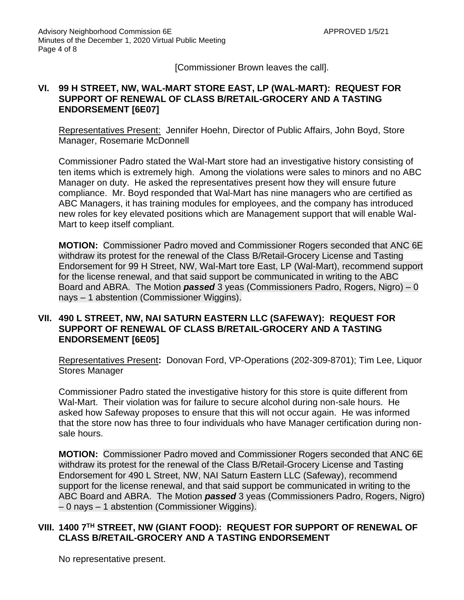[Commissioner Brown leaves the call].

## **VI. 99 H STREET, NW, WAL-MART STORE EAST, LP (WAL-MART): REQUEST FOR SUPPORT OF RENEWAL OF CLASS B/RETAIL-GROCERY AND A TASTING ENDORSEMENT [6E07]**

Representatives Present: Jennifer Hoehn, Director of Public Affairs, John Boyd, Store Manager, Rosemarie McDonnell

Commissioner Padro stated the Wal-Mart store had an investigative history consisting of ten items which is extremely high. Among the violations were sales to minors and no ABC Manager on duty. He asked the representatives present how they will ensure future compliance. Mr. Boyd responded that Wal-Mart has nine managers who are certified as ABC Managers, it has training modules for employees, and the company has introduced new roles for key elevated positions which are Management support that will enable Wal-Mart to keep itself compliant.

**MOTION:** Commissioner Padro moved and Commissioner Rogers seconded that ANC 6E withdraw its protest for the renewal of the Class B/Retail-Grocery License and Tasting Endorsement for 99 H Street, NW, Wal-Mart tore East, LP (Wal-Mart), recommend support for the license renewal, and that said support be communicated in writing to the ABC Board and ABRA. The Motion *passed* 3 yeas (Commissioners Padro, Rogers, Nigro) – 0 nays – 1 abstention (Commissioner Wiggins).

# **VII. 490 L STREET, NW, NAI SATURN EASTERN LLC (SAFEWAY): REQUEST FOR SUPPORT OF RENEWAL OF CLASS B/RETAIL-GROCERY AND A TASTING ENDORSEMENT [6E05]**

Representatives Present**:** Donovan Ford, VP-Operations (202-309-8701); Tim Lee, Liquor Stores Manager

Commissioner Padro stated the investigative history for this store is quite different from Wal-Mart. Their violation was for failure to secure alcohol during non-sale hours. He asked how Safeway proposes to ensure that this will not occur again. He was informed that the store now has three to four individuals who have Manager certification during nonsale hours.

**MOTION:** Commissioner Padro moved and Commissioner Rogers seconded that ANC 6E withdraw its protest for the renewal of the Class B/Retail-Grocery License and Tasting Endorsement for 490 L Street, NW, NAI Saturn Eastern LLC (Safeway), recommend support for the license renewal, and that said support be communicated in writing to the ABC Board and ABRA. The Motion *passed* 3 yeas (Commissioners Padro, Rogers, Nigro) – 0 nays – 1 abstention (Commissioner Wiggins).

# **VIII. 1400 7TH STREET, NW (GIANT FOOD): REQUEST FOR SUPPORT OF RENEWAL OF CLASS B/RETAIL-GROCERY AND A TASTING ENDORSEMENT**

No representative present.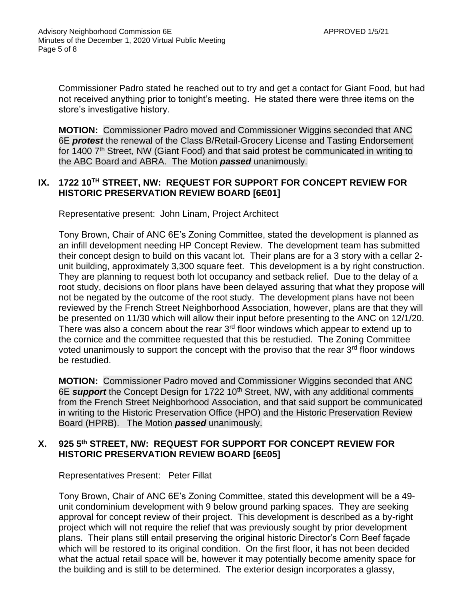Commissioner Padro stated he reached out to try and get a contact for Giant Food, but had not received anything prior to tonight's meeting. He stated there were three items on the store's investigative history.

**MOTION:** Commissioner Padro moved and Commissioner Wiggins seconded that ANC 6E *protest* the renewal of the Class B/Retail-Grocery License and Tasting Endorsement for 1400 7<sup>th</sup> Street, NW (Giant Food) and that said protest be communicated in writing to the ABC Board and ABRA. The Motion *passed* unanimously.

## **IX. 1722 10TH STREET, NW: REQUEST FOR SUPPORT FOR CONCEPT REVIEW FOR HISTORIC PRESERVATION REVIEW BOARD [6E01]**

Representative present: John Linam, Project Architect

Tony Brown, Chair of ANC 6E's Zoning Committee, stated the development is planned as an infill development needing HP Concept Review. The development team has submitted their concept design to build on this vacant lot. Their plans are for a 3 story with a cellar 2 unit building, approximately 3,300 square feet. This development is a by right construction. They are planning to request both lot occupancy and setback relief. Due to the delay of a root study, decisions on floor plans have been delayed assuring that what they propose will not be negated by the outcome of the root study. The development plans have not been reviewed by the French Street Neighborhood Association, however, plans are that they will be presented on 11/30 which will allow their input before presenting to the ANC on 12/1/20. There was also a concern about the rear  $3<sup>rd</sup>$  floor windows which appear to extend up to the cornice and the committee requested that this be restudied. The Zoning Committee voted unanimously to support the concept with the proviso that the rear 3<sup>rd</sup> floor windows be restudied.

**MOTION:** Commissioner Padro moved and Commissioner Wiggins seconded that ANC 6E **support** the Concept Design for 1722 10<sup>th</sup> Street, NW, with any additional comments from the French Street Neighborhood Association, and that said support be communicated in writing to the Historic Preservation Office (HPO) and the Historic Preservation Review Board (HPRB). The Motion *passed* unanimously.

# **X. 925 5th STREET, NW: REQUEST FOR SUPPORT FOR CONCEPT REVIEW FOR HISTORIC PRESERVATION REVIEW BOARD [6E05]**

Representatives Present: Peter Fillat

Tony Brown, Chair of ANC 6E's Zoning Committee, stated this development will be a 49 unit condominium development with 9 below ground parking spaces. They are seeking approval for concept review of their project. This development is described as a by-right project which will not require the relief that was previously sought by prior development plans. Their plans still entail preserving the original historic Director's Corn Beef façade which will be restored to its original condition. On the first floor, it has not been decided what the actual retail space will be, however it may potentially become amenity space for the building and is still to be determined. The exterior design incorporates a glassy,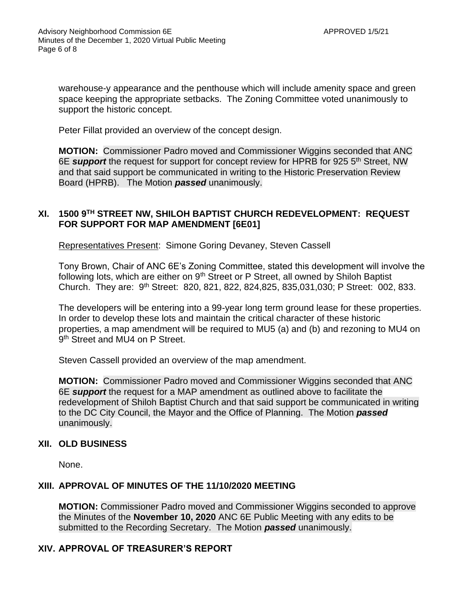warehouse-y appearance and the penthouse which will include amenity space and green space keeping the appropriate setbacks. The Zoning Committee voted unanimously to support the historic concept.

Peter Fillat provided an overview of the concept design.

**MOTION:** Commissioner Padro moved and Commissioner Wiggins seconded that ANC 6E *support* the request for support for concept review for HPRB for 925 5th Street, NW and that said support be communicated in writing to the Historic Preservation Review Board (HPRB). The Motion *passed* unanimously.

## **XI. 1500 9TH STREET NW, SHILOH BAPTIST CHURCH REDEVELOPMENT: REQUEST FOR SUPPORT FOR MAP AMENDMENT [6E01]**

Representatives Present: Simone Goring Devaney, Steven Cassell

Tony Brown, Chair of ANC 6E's Zoning Committee, stated this development will involve the following lots, which are either on  $9<sup>th</sup>$  Street or P Street, all owned by Shiloh Baptist Church. They are: 9th Street: 820, 821, 822, 824,825, 835,031,030; P Street: 002, 833.

The developers will be entering into a 99-year long term ground lease for these properties. In order to develop these lots and maintain the critical character of these historic properties, a map amendment will be required to MU5 (a) and (b) and rezoning to MU4 on 9<sup>th</sup> Street and MU4 on P Street.

Steven Cassell provided an overview of the map amendment.

**MOTION:** Commissioner Padro moved and Commissioner Wiggins seconded that ANC 6E *support* the request for a MAP amendment as outlined above to facilitate the redevelopment of Shiloh Baptist Church and that said support be communicated in writing to the DC City Council, the Mayor and the Office of Planning. The Motion *passed* unanimously.

## **XII. OLD BUSINESS**

None.

## **XIII. APPROVAL OF MINUTES OF THE 11/10/2020 MEETING**

**MOTION:** Commissioner Padro moved and Commissioner Wiggins seconded to approve the Minutes of the **November 10, 2020** ANC 6E Public Meeting with any edits to be submitted to the Recording Secretary. The Motion *passed* unanimously.

## **XIV. APPROVAL OF TREASURER'S REPORT**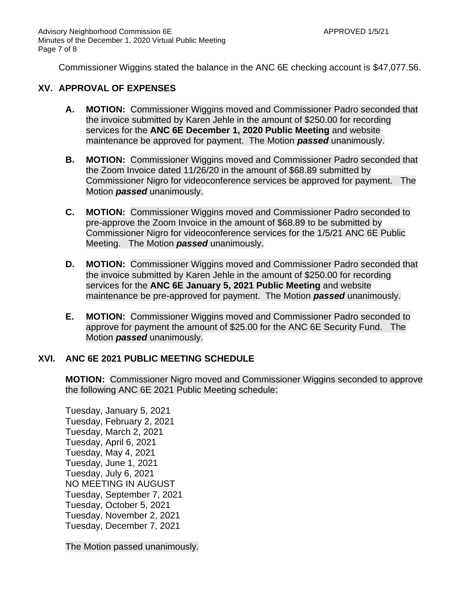Commissioner Wiggins stated the balance in the ANC 6E checking account is \$47,077.56.

#### **XV. APPROVAL OF EXPENSES**

- **A. MOTION:** Commissioner Wiggins moved and Commissioner Padro seconded that the invoice submitted by Karen Jehle in the amount of \$250.00 for recording services for the **ANC 6E December 1, 2020 Public Meeting** and website maintenance be approved for payment. The Motion *passed* unanimously.
- **B. MOTION:** Commissioner Wiggins moved and Commissioner Padro seconded that the Zoom Invoice dated 11/26/20 in the amount of \$68.89 submitted by Commissioner Nigro for videoconference services be approved for payment. The Motion *passed* unanimously.
- **C. MOTION:** Commissioner Wiggins moved and Commissioner Padro seconded to pre-approve the Zoom Invoice in the amount of \$68.89 to be submitted by Commissioner Nigro for videoconference services for the 1/5/21 ANC 6E Public Meeting. The Motion *passed* unanimously.
- **D. MOTION:** Commissioner Wiggins moved and Commissioner Padro seconded that the invoice submitted by Karen Jehle in the amount of \$250.00 for recording services for the **ANC 6E January 5, 2021 Public Meeting** and website maintenance be pre-approved for payment. The Motion *passed* unanimously.
- **E. MOTION:** Commissioner Wiggins moved and Commissioner Padro seconded to approve for payment the amount of \$25.00 for the ANC 6E Security Fund. The Motion *passed* unanimously.

## **XVI. ANC 6E 2021 PUBLIC MEETING SCHEDULE**

**MOTION:** Commissioner Nigro moved and Commissioner Wiggins seconded to approve the following ANC 6E 2021 Public Meeting schedule:

Tuesday, January 5, 2021 Tuesday, February 2, 2021 Tuesday, March 2, 2021 Tuesday, April 6, 2021 Tuesday, May 4, 2021 Tuesday, June 1, 2021 Tuesday, July 6, 2021 NO MEETING IN AUGUST Tuesday, September 7, 2021 Tuesday, October 5, 2021 Tuesday, November 2, 2021 Tuesday, December 7, 2021

The Motion passed unanimously.